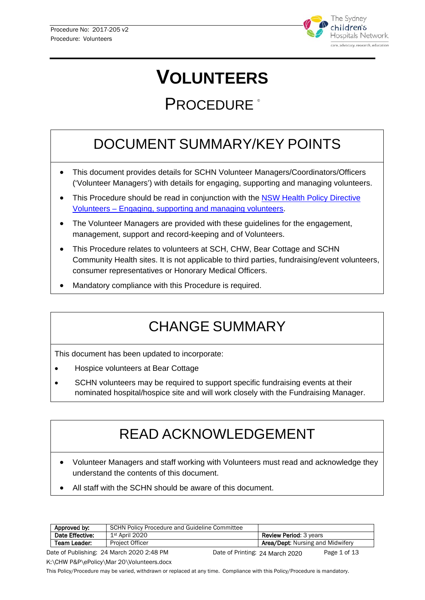

# **VOLUNTEERS**

## PROCEDURE<sup>®</sup>

## DOCUMENT SUMMARY/KEY POINTS

- This document provides details for SCHN Volunteer Managers/Coordinators/Officers ('Volunteer Managers') with details for engaging, supporting and managing volunteers.
- This Procedure should be read in conjunction with the NSW Health Policy Directive Volunteers – [Engaging, supporting and managing volunteers.](https://www1.health.nsw.gov.au/pds/Pages/doc.aspx?dn=PD2011_033)
- The Volunteer Managers are provided with these guidelines for the engagement, management, support and record-keeping and of Volunteers.
- This Procedure relates to volunteers at SCH, CHW, Bear Cottage and SCHN Community Health sites. It is not applicable to third parties, fundraising/event volunteers, consumer representatives or Honorary Medical Officers.
- Mandatory compliance with this Procedure is required.

## CHANGE SUMMARY

This document has been updated to incorporate:

- Hospice volunteers at Bear Cottage
- SCHN volunteers may be required to support specific fundraising events at their nominated hospital/hospice site and will work closely with the Fundraising Manager.

## READ ACKNOWLEDGEMENT

- Volunteer Managers and staff working with Volunteers must read and acknowledge they understand the contents of this document.
- All staff with the SCHN should be aware of this document.

| Approved by:                                                                                                                    | <b>SCHN Policy Procedure and Guideline Committee</b> |                                         |
|---------------------------------------------------------------------------------------------------------------------------------|------------------------------------------------------|-----------------------------------------|
| Date Effective:                                                                                                                 | 1st April 2020                                       | <b>Review Period: 3 years</b>           |
| Team Leader:                                                                                                                    | <b>Project Officer</b>                               | <b>Area/Dept:</b> Nursing and Midwifery |
| $\lambda$ oto of Dubliching: $\Omega A$ More $\Omega$ 000 $\Omega$ . 40 DM<br>$D = 4 - 4 - 47$<br>Data of Divination 2.11 1.222 |                                                      |                                         |

Date of Publishing: 24 March 2020 2:48 PM Date of Printing: 24 March 2020 Page 1 of 13 Date of Printing: 24 March 2020

K:\CHW P&P\ePolicy\Mar 20\Volunteers.docx

This Policy/Procedure may be varied, withdrawn or replaced at any time. Compliance with this Policy/Procedure is mandatory.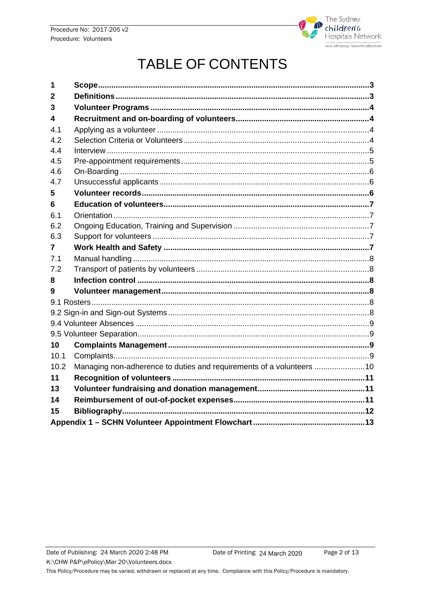

## **TABLE OF CONTENTS**

<span id="page-1-0"></span>

| 1              |                                                                       |  |  |
|----------------|-----------------------------------------------------------------------|--|--|
| $\overline{2}$ |                                                                       |  |  |
| 3              |                                                                       |  |  |
| 4              |                                                                       |  |  |
| 4.1            |                                                                       |  |  |
| 4.2            |                                                                       |  |  |
| 4.4            |                                                                       |  |  |
| 4.5            |                                                                       |  |  |
| 4.6            |                                                                       |  |  |
| 4.7            |                                                                       |  |  |
| 5              |                                                                       |  |  |
| 6              |                                                                       |  |  |
| 6.1            |                                                                       |  |  |
| 6.2            |                                                                       |  |  |
| 6.3            |                                                                       |  |  |
| 7              |                                                                       |  |  |
| 7.1            |                                                                       |  |  |
| 7.2            |                                                                       |  |  |
| 8              |                                                                       |  |  |
| 9              |                                                                       |  |  |
|                |                                                                       |  |  |
|                |                                                                       |  |  |
|                |                                                                       |  |  |
|                |                                                                       |  |  |
| 10             |                                                                       |  |  |
| 10.1           |                                                                       |  |  |
| 10.2           | Managing non-adherence to duties and requirements of a volunteers  10 |  |  |
| 11             |                                                                       |  |  |
| 13             |                                                                       |  |  |
| 14             |                                                                       |  |  |
| 15             |                                                                       |  |  |
|                |                                                                       |  |  |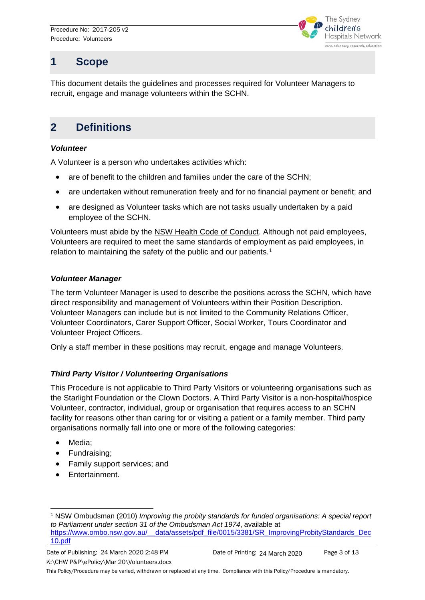

### **1 Scope**

This document details the guidelines and processes required for Volunteer Managers to recruit, engage and manage volunteers within the SCHN.

### <span id="page-2-0"></span>**2 Definitions**

#### *Volunteer*

A Volunteer is a person who undertakes activities which:

- are of benefit to the children and families under the care of the SCHN;
- are undertaken without remuneration freely and for no financial payment or benefit; and
- are designed as Volunteer tasks which are not tasks usually undertaken by a paid employee of the SCHN.

Volunteers must abide by the NSW Health Code of Conduct. Although not paid employees, Volunteers are required to meet the same standards of employment as paid employees, in relation to maintaining the safety of the public and our patients.<sup>[1](#page-2-1)</sup>

#### *Volunteer Manager*

The term Volunteer Manager is used to describe the positions across the SCHN, which have direct responsibility and management of Volunteers within their Position Description. Volunteer Managers can include but is not limited to the Community Relations Officer, Volunteer Coordinators, Carer Support Officer, Social Worker, Tours Coordinator and Volunteer Project Officers.

Only a staff member in these positions may recruit, engage and manage Volunteers.

#### *Third Party Visitor / Volunteering Organisations*

This Procedure is not applicable to Third Party Visitors or volunteering organisations such as the Starlight Foundation or the Clown Doctors. A Third Party Visitor is a non-hospital/hospice Volunteer, contractor, individual, group or organisation that requires access to an SCHN facility for reasons other than caring for or visiting a patient or a family member. Third party organisations normally fall into one or more of the following categories:

- Media:
- Fundraising;
- Family support services; and
- Entertainment.

Date of Publishing: 24 March 2020 2:48 PM Date of Printing: 24 March 2020 Page 3 of 13 K:\CHW P&P\ePolicy\Mar 20\Volunteers.docx Date of Printing: 24 March 2020

<span id="page-2-1"></span> <sup>1</sup> NSW Ombudsman (2010) *Improving the probity standards for funded organisations: A special report to Parliament under section 31 of the Ombudsman Act 1974*, available at [https://www.ombo.nsw.gov.au/\\_\\_data/assets/pdf\\_file/0015/3381/SR\\_ImprovingProbityStandards\\_Dec](https://www.ombo.nsw.gov.au/__data/assets/pdf_file/0015/3381/SR_ImprovingProbityStandards_Dec10.pdf) [10.pdf](https://www.ombo.nsw.gov.au/__data/assets/pdf_file/0015/3381/SR_ImprovingProbityStandards_Dec10.pdf)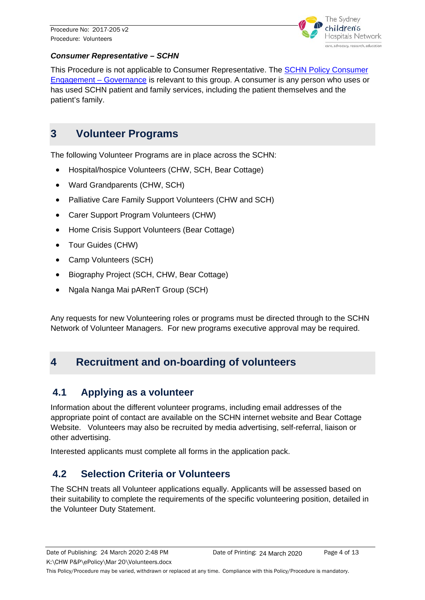

#### *Consumer Representative – SCHN*

This Procedure is not applicable to Consumer Representative. The [SCHN Policy Consumer](http://webapps.schn.health.nsw.gov.au/epolicy/policy/3560)  [Engagement –](http://webapps.schn.health.nsw.gov.au/epolicy/policy/3560) Governance is relevant to this group. A consumer is any person who uses or has used SCHN patient and family services, including the patient themselves and the patient's family.

#### <span id="page-3-0"></span>**3 Volunteer Programs**

The following Volunteer Programs are in place across the SCHN:

- Hospital/hospice Volunteers (CHW, SCH, Bear Cottage)
- Ward Grandparents (CHW, SCH)
- Palliative Care Family Support Volunteers (CHW and SCH)
- Carer Support Program Volunteers (CHW)
- Home Crisis Support Volunteers (Bear Cottage)
- Tour Guides (CHW)
- Camp Volunteers (SCH)
- Biography Project (SCH, CHW, Bear Cottage)
- Ngala Nanga Mai pARenT Group (SCH)

Any requests for new Volunteering roles or programs must be directed through to the SCHN Network of Volunteer Managers. For new programs executive approval may be required.

#### <span id="page-3-1"></span>**4 Recruitment and on-boarding of volunteers**

#### <span id="page-3-2"></span>**4.1 Applying as a volunteer**

Information about the different volunteer programs, including email addresses of the appropriate point of contact are available on the SCHN internet website and Bear Cottage Website. Volunteers may also be recruited by media advertising, self-referral, liaison or other advertising.

Interested applicants must complete all forms in the application pack.

#### <span id="page-3-3"></span>**4.2 Selection Criteria or Volunteers**

The SCHN treats all Volunteer applications equally. Applicants will be assessed based on their suitability to complete the requirements of the specific volunteering position, detailed in the Volunteer Duty Statement.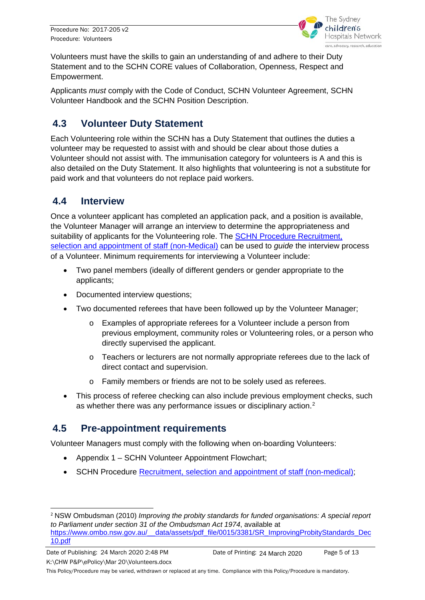

Volunteers must have the skills to gain an understanding of and adhere to their Duty Statement and to the SCHN CORE values of Collaboration, Openness, Respect and Empowerment.

Applicants *must* comply with the Code of Conduct, SCHN Volunteer Agreement, SCHN Volunteer Handbook and the SCHN Position Description.

#### **4.3 Volunteer Duty Statement**

Each Volunteering role within the SCHN has a Duty Statement that outlines the duties a volunteer may be requested to assist with and should be clear about those duties a Volunteer should not assist with. The immunisation category for volunteers is A and this is also detailed on the Duty Statement. It also highlights that volunteering is not a substitute for paid work and that volunteers do not replace paid workers.

#### <span id="page-4-0"></span>**4.4 Interview**

Once a volunteer applicant has completed an application pack, and a position is available, the Volunteer Manager will arrange an interview to determine the appropriateness and suitability of applicants for the Volunteering role. The [SCHN Procedure Recruitment,](http://webapps.schn.health.nsw.gov.au/epolicy/policy/2756)  [selection and appointment of staff \(non-Medical\)](http://webapps.schn.health.nsw.gov.au/epolicy/policy/2756) can be used to *guide* the interview process of a Volunteer. Minimum requirements for interviewing a Volunteer include:

- Two panel members (ideally of different genders or gender appropriate to the applicants;
- Documented interview questions;
- Two documented referees that have been followed up by the Volunteer Manager;
	- o Examples of appropriate referees for a Volunteer include a person from previous employment, community roles or Volunteering roles, or a person who directly supervised the applicant.
	- $\circ$  Teachers or lecturers are not normally appropriate referees due to the lack of direct contact and supervision.
	- o Family members or friends are not to be solely used as referees.
- This process of referee checking can also include previous employment checks, such as whether there was any performance issues or disciplinary action.<sup>[2](#page-4-2)</sup>

#### <span id="page-4-1"></span>**4.5 Pre-appointment requirements**

Volunteer Managers must comply with the following when on-boarding Volunteers:

- Appendix 1 SCHN Volunteer Appointment Flowchart;
- SCHN Procedure [Recruitment, selection and appointment of staff \(non-medical\);](http://webapps.schn.health.nsw.gov.au/epolicy/policy/4539)

<span id="page-4-2"></span><sup>-</sup><sup>2</sup> NSW Ombudsman (2010) *Improving the probity standards for funded organisations: A special report to Parliament under section 31 of the Ombudsman Act 1974*, available at [https://www.ombo.nsw.gov.au/\\_\\_data/assets/pdf\\_file/0015/3381/SR\\_ImprovingProbityStandards\\_Dec](https://www.ombo.nsw.gov.au/__data/assets/pdf_file/0015/3381/SR_ImprovingProbityStandards_Dec10.pdf) [10.pdf](https://www.ombo.nsw.gov.au/__data/assets/pdf_file/0015/3381/SR_ImprovingProbityStandards_Dec10.pdf)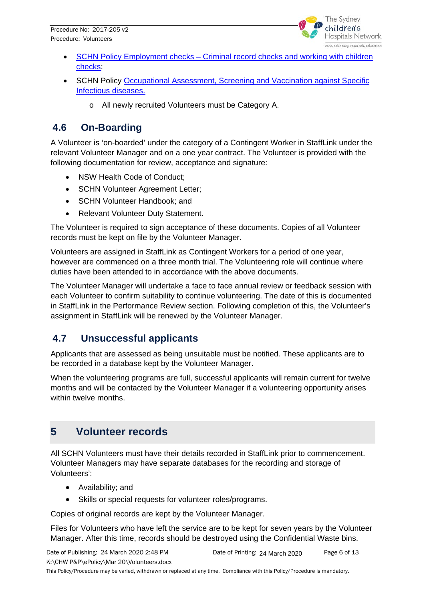

- SCHN Policy Employment checks Criminal record checks and working with children [checks;](http://webapps.schn.health.nsw.gov.au/epolicy/policy/3139)
- SCHN Policy [Occupational Assessment, Screening and Vaccination against Specific](http://webapps.schn.health.nsw.gov.au/epolicy/policy/5078)  [Infectious diseases.](http://webapps.schn.health.nsw.gov.au/epolicy/policy/5078)
	- o All newly recruited Volunteers must be Category A.

#### <span id="page-5-0"></span>**4.6 On-Boarding**

A Volunteer is 'on-boarded' under the category of a Contingent Worker in StaffLink under the relevant Volunteer Manager and on a one year contract. The Volunteer is provided with the following documentation for review, acceptance and signature:

- NSW Health Code of Conduct:
- SCHN Volunteer Agreement Letter;
- SCHN Volunteer Handbook; and
- Relevant Volunteer Duty Statement.

The Volunteer is required to sign acceptance of these documents. Copies of all Volunteer records must be kept on file by the Volunteer Manager.

Volunteers are assigned in StaffLink as Contingent Workers for a period of one year, however are commenced on a three month trial. The Volunteering role will continue where duties have been attended to in accordance with the above documents.

The Volunteer Manager will undertake a face to face annual review or feedback session with each Volunteer to confirm suitability to continue volunteering. The date of this is documented in StaffLink in the Performance Review section. Following completion of this, the Volunteer's assignment in StaffLink will be renewed by the Volunteer Manager.

#### <span id="page-5-1"></span>**4.7 Unsuccessful applicants**

Applicants that are assessed as being unsuitable must be notified. These applicants are to be recorded in a database kept by the Volunteer Manager.

When the volunteering programs are full, successful applicants will remain current for twelve months and will be contacted by the Volunteer Manager if a volunteering opportunity arises within twelve months.

### <span id="page-5-2"></span>**5 Volunteer records**

All SCHN Volunteers must have their details recorded in StaffLink prior to commencement. Volunteer Managers may have separate databases for the recording and storage of Volunteers':

- Availability; and
- Skills or special requests for volunteer roles/programs.

Copies of original records are kept by the Volunteer Manager.

Files for Volunteers who have left the service are to be kept for seven years by the Volunteer Manager. After this time, records should be destroyed using the Confidential Waste bins.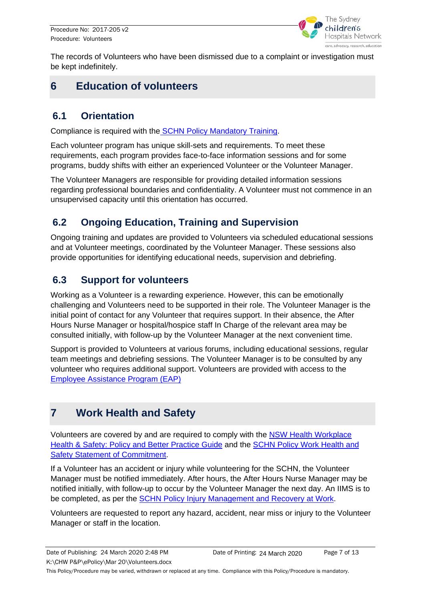

The records of Volunteers who have been dismissed due to a complaint or investigation must be kept indefinitely.

#### <span id="page-6-0"></span>**6 Education of volunteers**

#### <span id="page-6-1"></span>**6.1 Orientation**

Compliance is required with the [SCHN Policy Mandatory Training.](http://webapps.schn.health.nsw.gov.au/epolicy/policy/3399)

Each volunteer program has unique skill-sets and requirements. To meet these requirements, each program provides face-to-face information sessions and for some programs, buddy shifts with either an experienced Volunteer or the Volunteer Manager.

The Volunteer Managers are responsible for providing detailed information sessions regarding professional boundaries and confidentiality. A Volunteer must not commence in an unsupervised capacity until this orientation has occurred.

#### <span id="page-6-2"></span>**6.2 Ongoing Education, Training and Supervision**

Ongoing training and updates are provided to Volunteers via scheduled educational sessions and at Volunteer meetings, coordinated by the Volunteer Manager. These sessions also provide opportunities for identifying educational needs, supervision and debriefing.

#### <span id="page-6-3"></span>**6.3 Support for volunteers**

Working as a Volunteer is a rewarding experience. However, this can be emotionally challenging and Volunteers need to be supported in their role. The Volunteer Manager is the initial point of contact for any Volunteer that requires support. In their absence, the After Hours Nurse Manager or hospital/hospice staff In Charge of the relevant area may be consulted initially, with follow-up by the Volunteer Manager at the next convenient time.

Support is provided to Volunteers at various forums, including educational sessions, regular team meetings and debriefing sessions. The Volunteer Manager is to be consulted by any volunteer who requires additional support. Volunteers are provided with access to the [Employee Assistance Program \(EAP\)](http://webapps.schn.health.nsw.gov.au/epolicy/policy/3200)

### <span id="page-6-4"></span>**7 Work Health and Safety**

Volunteers are covered by and are required to comply with the [NSW Health Workplace](https://www1.health.nsw.gov.au/pds/Pages/doc.aspx?dn=PD2018_013)  [Health & Safety: Policy and Better Practice Guide](https://www1.health.nsw.gov.au/pds/Pages/doc.aspx?dn=PD2018_013) and the [SCHN Policy Work Health and](http://webapps.schn.health.nsw.gov.au/epolicy/policy/3750)  **[Safety Statement of Commitment.](http://webapps.schn.health.nsw.gov.au/epolicy/policy/3750)** 

If a Volunteer has an accident or injury while volunteering for the SCHN, the Volunteer Manager must be notified immediately. After hours, the After Hours Nurse Manager may be notified initially, with follow-up to occur by the Volunteer Manager the next day. An IIMS is to be completed, as per the **SCHN Policy Injury Management and Recovery at Work**.

Volunteers are requested to report any hazard, accident, near miss or injury to the Volunteer Manager or staff in the location.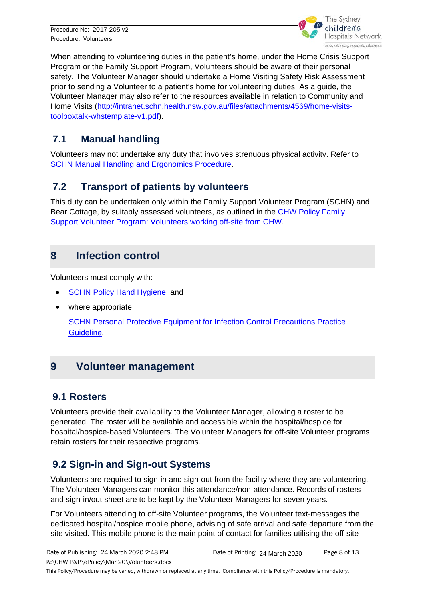

When attending to volunteering duties in the patient's home, under the Home Crisis Support Program or the Family Support Program, Volunteers should be aware of their personal safety. The Volunteer Manager should undertake a Home Visiting Safety Risk Assessment prior to sending a Volunteer to a patient's home for volunteering duties. As a guide, the Volunteer Manager may also refer to the resources available in relation to Community and Home Visits [\(http://intranet.schn.health.nsw.gov.au/files/attachments/4569/home-visits](http://intranet.schn.health.nsw.gov.au/files/attachments/4569/home-visits-toolboxtalk-whstemplate-v1.pdf)[toolboxtalk-whstemplate-v1.pdf\)](http://intranet.schn.health.nsw.gov.au/files/attachments/4569/home-visits-toolboxtalk-whstemplate-v1.pdf).

#### <span id="page-7-0"></span>**7.1 Manual handling**

Volunteers may not undertake any duty that involves strenuous physical activity. Refer to [SCHN Manual Handling and Ergonomics Procedure.](http://webapps.schn.health.nsw.gov.au/epolicy/policy/3453)

#### <span id="page-7-1"></span>**7.2 Transport of patients by volunteers**

This duty can be undertaken only within the Family Support Volunteer Program (SCHN) and Bear Cottage, by suitably assessed volunteers, as outlined in the [CHW Policy Family](http://webapps.schn.health.nsw.gov.au/epolicy/policy/4120)  [Support Volunteer Program: Volunteers working off-site from CHW.](http://webapps.schn.health.nsw.gov.au/epolicy/policy/4120)

#### <span id="page-7-2"></span>**8 Infection control**

Volunteers must comply with:

- **[SCHN Policy Hand Hygiene;](http://webapps.schn.health.nsw.gov.au/epolicy/policy/2967) and**
- where appropriate:

[SCHN Personal Protective Equipment for Infection Control Precautions Practice](http://webapps.schn.health.nsw.gov.au/epolicy/policy/2609)  [Guideline.](http://webapps.schn.health.nsw.gov.au/epolicy/policy/2609)

#### <span id="page-7-3"></span>**9 Volunteer management**

#### <span id="page-7-4"></span>**9.1 Rosters**

Volunteers provide their availability to the Volunteer Manager, allowing a roster to be generated. The roster will be available and accessible within the hospital/hospice for hospital/hospice-based Volunteers. The Volunteer Managers for off-site Volunteer programs retain rosters for their respective programs.

#### <span id="page-7-5"></span>**9.2 Sign-in and Sign-out Systems**

Volunteers are required to sign-in and sign-out from the facility where they are volunteering. The Volunteer Managers can monitor this attendance/non-attendance. Records of rosters and sign-in/out sheet are to be kept by the Volunteer Managers for seven years.

For Volunteers attending to off-site Volunteer programs, the Volunteer text-messages the dedicated hospital/hospice mobile phone, advising of safe arrival and safe departure from the site visited. This mobile phone is the main point of contact for families utilising the off-site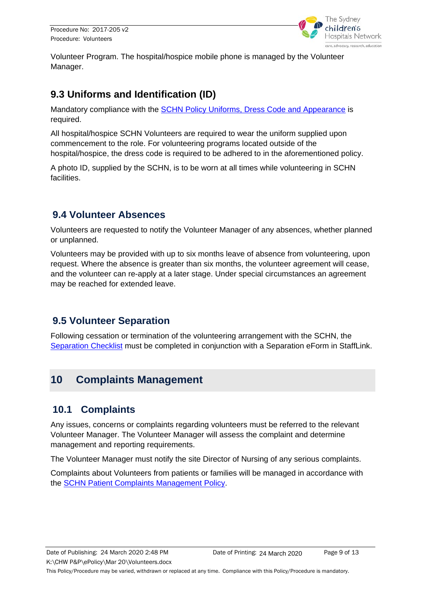

Volunteer Program. The hospital/hospice mobile phone is managed by the Volunteer Manager.

#### **9.3 Uniforms and Identification (ID)**

Mandatory compliance with the [SCHN Policy Uniforms, Dress Code and Appearance](http://webapps.schn.health.nsw.gov.au/epolicy/policy/2925) is required.

All hospital/hospice SCHN Volunteers are required to wear the uniform supplied upon commencement to the role. For volunteering programs located outside of the hospital/hospice, the dress code is required to be adhered to in the aforementioned policy.

A photo ID, supplied by the SCHN, is to be worn at all times while volunteering in SCHN facilities.

#### <span id="page-8-0"></span>**9.4 Volunteer Absences**

Volunteers are requested to notify the Volunteer Manager of any absences, whether planned or unplanned.

Volunteers may be provided with up to six months leave of absence from volunteering, upon request. Where the absence is greater than six months, the volunteer agreement will cease, and the volunteer can re-apply at a later stage. Under special circumstances an agreement may be reached for extended leave.

#### <span id="page-8-1"></span>**9.5 Volunteer Separation**

Following cessation or termination of the volunteering arrangement with the SCHN, the [Separation Checklist](http://intranet.schn.health.nsw.gov.au/stafflink/forms-and-business-processes) must be completed in conjunction with a Separation eForm in StaffLink.

#### <span id="page-8-2"></span>**10 Complaints Management**

#### <span id="page-8-3"></span>**10.1 Complaints**

Any issues, concerns or complaints regarding volunteers must be referred to the relevant Volunteer Manager. The Volunteer Manager will assess the complaint and determine management and reporting requirements.

The Volunteer Manager must notify the site Director of Nursing of any serious complaints.

Complaints about Volunteers from patients or families will be managed in accordance with the [SCHN Patient Complaints Management Policy.](http://webapps.schn.health.nsw.gov.au/epolicy/policy/2794)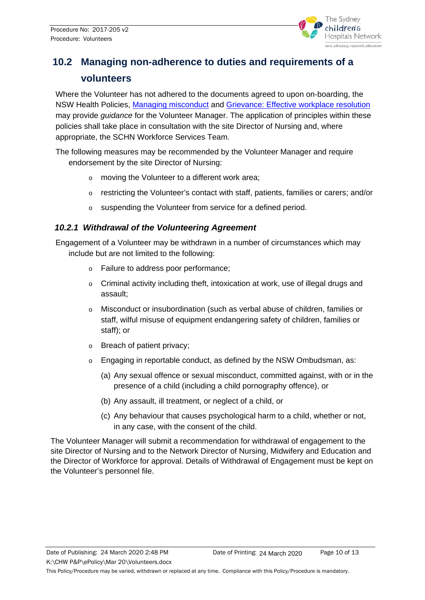

### <span id="page-9-0"></span>**10.2 Managing non-adherence to duties and requirements of a volunteers**

Where the Volunteer has not adhered to the documents agreed to upon on-boarding, the NSW Health Policies, [Managing misconduct](http://webapps.schn.health.nsw.gov.au/epolicy/policy/3448) and [Grievance: Effective workplace resolution](http://webapps.schn.health.nsw.gov.au/epolicy/policy/3572) may provide *guidance* for the Volunteer Manager. The application of principles within these policies shall take place in consultation with the site Director of Nursing and, where appropriate, the SCHN Workforce Services Team.

The following measures may be recommended by the Volunteer Manager and require endorsement by the site Director of Nursing:

- o moving the Volunteer to a different work area;
- o restricting the Volunteer's contact with staff, patients, families or carers; and/or
- o suspending the Volunteer from service for a defined period.

#### *10.2.1 Withdrawal of the Volunteering Agreement*

Engagement of a Volunteer may be withdrawn in a number of circumstances which may include but are not limited to the following:

- o Failure to address poor performance;
- $\circ$  Criminal activity including theft, intoxication at work, use of illegal drugs and assault;
- o Misconduct or insubordination (such as verbal abuse of children, families or staff, wilful misuse of equipment endangering safety of children, families or staff); or
- o Breach of patient privacy;
- $\circ$  Engaging in reportable conduct, as defined by the NSW Ombudsman, as:
	- (a) Any sexual offence or sexual misconduct, committed against, with or in the presence of a child (including a child pornography offence), or
	- (b) Any assault, ill treatment, or neglect of a child, or
	- (c) Any behaviour that causes psychological harm to a child, whether or not, in any case, with the consent of the child.

The Volunteer Manager will submit a recommendation for withdrawal of engagement to the site Director of Nursing and to the Network Director of Nursing, Midwifery and Education and the Director of Workforce for approval. Details of Withdrawal of Engagement must be kept on the Volunteer's personnel file.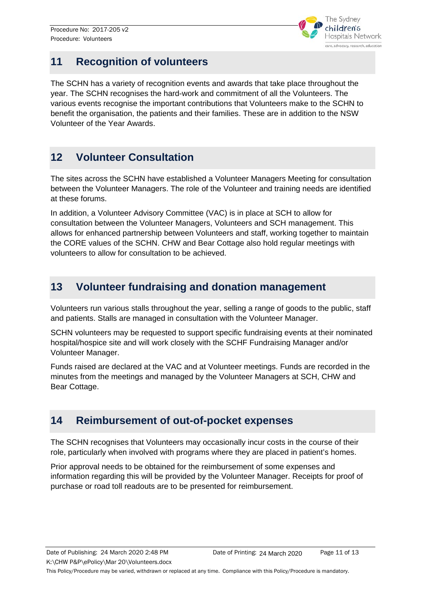

#### <span id="page-10-0"></span>**11 Recognition of volunteers**

The SCHN has a variety of recognition events and awards that take place throughout the year. The SCHN recognises the hard-work and commitment of all the Volunteers. The various events recognise the important contributions that Volunteers make to the SCHN to benefit the organisation, the patients and their families. These are in addition to the NSW Volunteer of the Year Awards.

#### **12 Volunteer Consultation**

The sites across the SCHN have established a Volunteer Managers Meeting for consultation between the Volunteer Managers. The role of the Volunteer and training needs are identified at these forums.

In addition, a Volunteer Advisory Committee (VAC) is in place at SCH to allow for consultation between the Volunteer Managers, Volunteers and SCH management. This allows for enhanced partnership between Volunteers and staff, working together to maintain the CORE values of the SCHN. CHW and Bear Cottage also hold regular meetings with volunteers to allow for consultation to be achieved.

#### <span id="page-10-1"></span>**13 Volunteer fundraising and donation management**

Volunteers run various stalls throughout the year, selling a range of goods to the public, staff and patients. Stalls are managed in consultation with the Volunteer Manager.

SCHN volunteers may be requested to support specific fundraising events at their nominated hospital/hospice site and will work closely with the SCHF Fundraising Manager and/or Volunteer Manager.

Funds raised are declared at the VAC and at Volunteer meetings. Funds are recorded in the minutes from the meetings and managed by the Volunteer Managers at SCH, CHW and Bear Cottage.

#### <span id="page-10-2"></span>**14 Reimbursement of out-of-pocket expenses**

The SCHN recognises that Volunteers may occasionally incur costs in the course of their role, particularly when involved with programs where they are placed in patient's homes.

Prior approval needs to be obtained for the reimbursement of some expenses and information regarding this will be provided by the Volunteer Manager. Receipts for proof of purchase or road toll readouts are to be presented for reimbursement.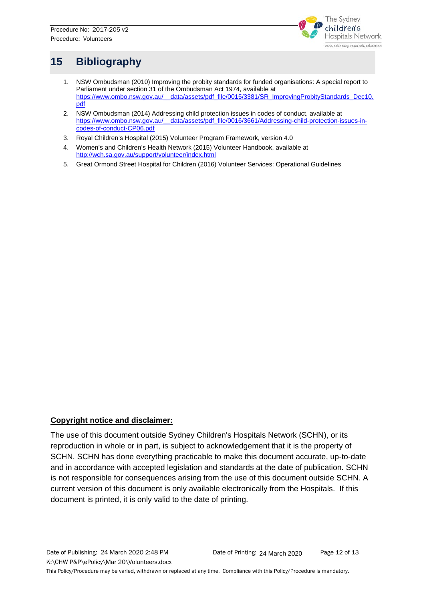

### <span id="page-11-0"></span>**15 Bibliography**

- 1. NSW Ombudsman (2010) Improving the probity standards for funded organisations: A special report to Parliament under section 31 of the Ombudsman Act 1974, available at [https://www.ombo.nsw.gov.au/\\_\\_data/assets/pdf\\_file/0015/3381/SR\\_ImprovingProbityStandards\\_Dec10.](https://www.ombo.nsw.gov.au/__data/assets/pdf_file/0015/3381/SR_ImprovingProbityStandards_Dec10.pdf) [pdf](https://www.ombo.nsw.gov.au/__data/assets/pdf_file/0015/3381/SR_ImprovingProbityStandards_Dec10.pdf)
- 2. NSW Ombudsman (2014) Addressing child protection issues in codes of conduct, available at https://www.ombo.nsw.gov.au/\_data/assets/pdf\_file/0016/3661/Addressing-child-protection-issues-in[codes-of-conduct-CP06.pdf](https://www.ombo.nsw.gov.au/__data/assets/pdf_file/0016/3661/Addressing-child-protection-issues-in-codes-of-conduct-CP06.pdf)
- 3. Royal Children's Hospital (2015) Volunteer Program Framework, version 4.0
- 4. Women's and Children's Health Network (2015) Volunteer Handbook, available at <http://wch.sa.gov.au/support/volunteer/index.html>
- 5. Great Ormond Street Hospital for Children (2016) Volunteer Services: Operational Guidelines

#### **Copyright notice and disclaimer:**

The use of this document outside Sydney Children's Hospitals Network (SCHN), or its reproduction in whole or in part, is subject to acknowledgement that it is the property of SCHN. SCHN has done everything practicable to make this document accurate, up-to-date and in accordance with accepted legislation and standards at the date of publication. SCHN is not responsible for consequences arising from the use of this document outside SCHN. A current version of this document is only available electronically from the Hospitals. If this document is printed, it is only valid to the date of printing.